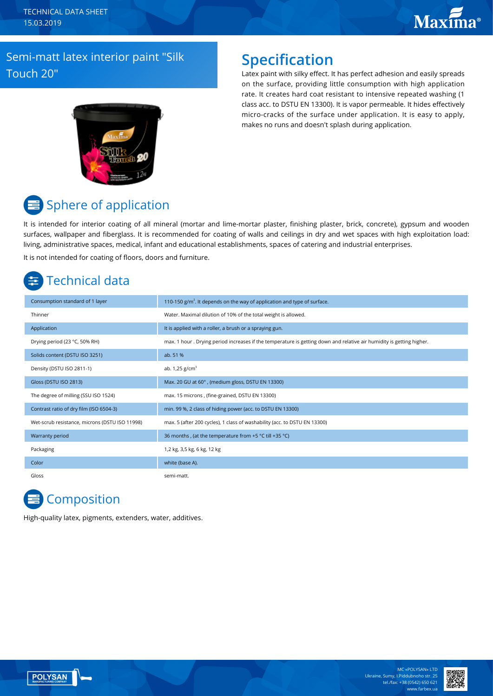# **Maxima**®

### Semi-matt latex interior paint "Silk Touch 20"

## **Specification**

Latex paint with silky effect. It has perfect adhesion and easily spreads on the surface, providing little consumption with high application rate. It creates hard coat resistant to intensive repeated washing (1 class acc. to DSTU EN 13300). It is vapor permeable. It hides effectively micro-cracks of the surface under application. It is easy to apply, makes no runs and doesn't splash during application.



# Sphere of application

It is intended for interior coating of all mineral (mortar and lime-mortar plaster, finishing plaster, brick, concrete), gypsum and wooden surfaces, wallpaper and fiberglass. It is recommended for coating of walls and ceilings in dry and wet spaces with high exploitation load: living, administrative spaces, medical, infant and educational establishments, spaces of catering and industrial enterprises. It is not intended for coating of floors, doors and furniture.

# Technical data

| Consumption standard of 1 layer                | 110-150 $g/m2$ . It depends on the way of application and type of surface.                                            |
|------------------------------------------------|-----------------------------------------------------------------------------------------------------------------------|
| Thinner                                        | Water. Maximal dilution of 10% of the total weight is allowed.                                                        |
| Application                                    | It is applied with a roller, a brush or a spraying gun.                                                               |
| Drying period (23 °C, 50% RH)                  | max. 1 hour . Drying period increases if the temperature is getting down and relative air humidity is getting higher. |
| Solids content (DSTU ISO 3251)                 | ab. 51 %                                                                                                              |
| Density (DSTU ISO 2811-1)                      | ab. $1,25$ g/cm <sup>3</sup>                                                                                          |
| Gloss (DSTU ISO 2813)                          | Max. 20 GU at 60°, (medium gloss, DSTU EN 13300)                                                                      |
| The degree of milling (SSU ISO 1524)           | max. 15 microns, (fine-grained, DSTU EN 13300)                                                                        |
| Contrast ratio of dry film (ISO 6504-3)        | min. 99 %, 2 class of hiding power (acc. to DSTU EN 13300)                                                            |
| Wet-scrub resistance, microns (DSTU ISO 11998) | max. 5 (after 200 cycles), 1 class of washability (acc. to DSTU EN 13300)                                             |
| Warranty period                                | 36 months, (at the temperature from +5 °C till +35 °C)                                                                |
| Packaging                                      | 1,2 kg, 3,5 kg, 6 kg, 12 kg                                                                                           |
| Color                                          | white (base A).                                                                                                       |
| Gloss                                          | semi-matt.                                                                                                            |

## **Composition**

High-quality latex, pigments, extenders, water, additives.